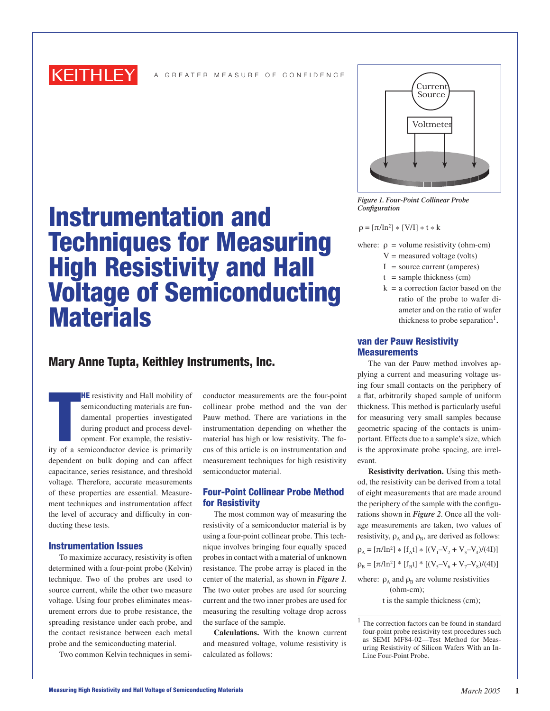

# Instrumentation and Techniques for Measuring High Resistivity and Hall Voltage of Semiconducting **Materials**

## Mary Anne Tupta, Keithley Instruments, Inc.

**HE** resistivity and Hall mobility of<br>semiconducting materials are fun-<br>damental properties investigated<br>during product and process devel-<br>opment. For example, the resistiv-<br>ity of a semiconductor device is primarily **HE** resistivity and Hall mobility of semiconducting materials are fundamental properties investigated during product and process development. For example, the resistivdependent on bulk doping and can affect capacitance, series resistance, and threshold voltage. Therefore, accurate measurements of these properties are essential. Measurement techniques and instrumentation affect the level of accuracy and difficulty in conducting these tests.

#### Instrumentation Issues

To maximize accuracy, resistivity is often determined with a four-point probe (Kelvin) technique. Two of the probes are used to source current, while the other two measure voltage. Using four probes eliminates measurement errors due to probe resistance, the spreading resistance under each probe, and the contact resistance between each metal probe and the semiconducting material.

Two common Kelvin techniques in semi-

conductor measurements are the four-point collinear probe method and the van der Pauw method. There are variations in the instrumentation depending on whether the material has high or low resistivity. The focus of this article is on instrumentation and measurement techniques for high resistivity semiconductor material.

#### Four-Point Collinear Probe Method for Resistivity

The most common way of measuring the resistivity of a semiconductor material is by using a four-point collinear probe. This technique involves bringing four equally spaced probes in contact with a material of unknown resistance. The probe array is placed in the center of the material, as shown in *Figure 1*. The two outer probes are used for sourcing current and the two inner probes are used for measuring the resulting voltage drop across the surface of the sample.

**Calculations.** With the known current and measured voltage, volume resistivity is calculated as follows:



*Figure 1. Four-Point Collinear Probe Configuration*

 $\rho = [\pi / \ln^2] * [V/I] * t * k$ 

- where:  $\rho$  = volume resistivity (ohm-cm)
	- $V =$  measured voltage (volts)
	- $I = source current (amperes)$
	- $t =$ sample thickness (cm)
	- $k = a$  correction factor based on the ratio of the probe to wafer diameter and on the ratio of wafer thickness to probe separation<sup>1</sup>.

### van der Pauw Resistivity **Measurements**

The van der Pauw method involves applying a current and measuring voltage using four small contacts on the periphery of a flat, arbitrarily shaped sample of uniform thickness. This method is particularly useful for measuring very small samples because geometric spacing of the contacts is unimportant. Effects due to a sample's size, which is the approximate probe spacing, are irrelevant.

**Resistivity derivation.** Using this method, the resistivity can be derived from a total of eight measurements that are made around the periphery of the sample with the configurations shown in *Figure 2*. Once all the voltage measurements are taken, two values of resistivity,  $\rho_A$  and  $\rho_B$ , are derived as follows:

$$
\rho_{A} = [\pi / \ln^{2}] * [f_{A}t] * [(V_{1} - V_{2} + V_{3} - V_{4})/(4I)]
$$
  

$$
\rho_{B} = [\pi / \ln^{2}] * [f_{B}t] * [(V_{5} - V_{6} + V_{7} - V_{8})/(4I)]
$$

where:  $\rho_A$  and  $\rho_B$  are volume resistivities (ohm-cm); t is the sample thickness (cm);

<sup>1</sup> The correction factors can be found in standard four-point probe resistivity test procedures such as SEMI MF84-02—Test Method for Measuring Resistivity of Silicon Wafers With an In-Line Four-Point Probe.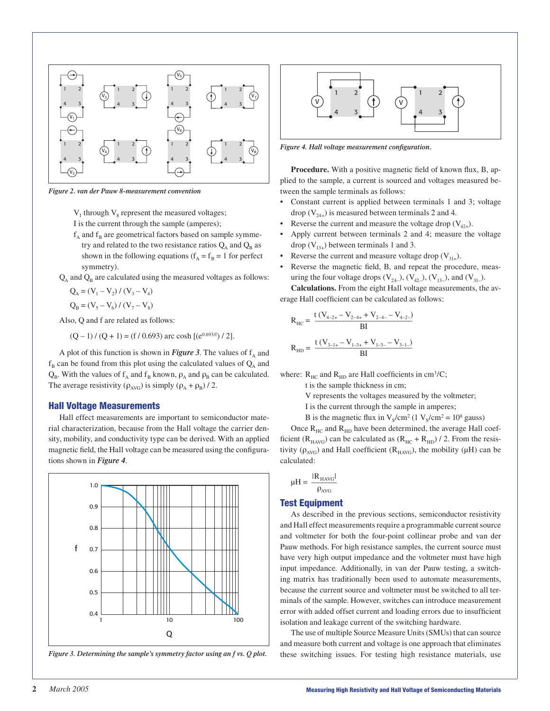

*Figure 2. van der Pauw 8-measurement convention*

 $V_1$  through  $V_8$  represent the measured voltages;

- I is the current through the sample (amperes);
- $f_{\alpha}$  and  $f_{\beta}$  are geometrical factors based on sample symmetry and related to the two resistance ratios  $Q_A$  and  $Q_B$  as shown in the following equations ( $f_A = f_B = 1$  for perfect symmetry).
- $Q_A$  and  $Q_B$  are calculated using the measured voltages as follows:

$$
Q_A = (V_1 - V_2) / (V_3 - V_4)
$$

$$
Q_B = (V_5 - V_6) / (V_7 - V_8)
$$

Also, Q and f are related as follows:

 $(Q-1)/(Q+1) = (f/0.693)$  arc cosh  $[(e^{0.693/f})/2]$ .

A plot of this function is shown in *Figure 3*. The values of  $f_a$  and  $f_B$  can be found from this plot using the calculated values of  $Q_A$  and  $Q_B$ . With the values of  $f_A$  and  $f_B$  known,  $\rho_A$  and  $\rho_B$  can be calculated. The average resistivity ( $\rho_{AVG}$ ) is simply ( $\rho_A + \rho_B$ ) / 2.

#### Hall Voltage Measurements

Hall effect measurements are important to semiconductor material characterization, because from the Hall voltage the carrier density, mobility, and conductivity type can be derived. With an applied magnetic field, the Hall voltage can be measured using the configurations shown in *Figure 4*.



*Figure 3. Determining the sample's symmetry factor using an f vs. Q plot.*



*Figure 4. Hall voltage measurement configuration.*

**Procedure.** With a positive magnetic field of known flux, B, applied to the sample, a current is sourced and voltages measured between the sample terminals as follows:

- Constant current is applied between terminals 1 and 3; voltage drop  $(V_{24+})$  is measured between terminals 2 and 4.
- Reverse the current and measure the voltage drop  $(V_{42+})$ .
- Apply current between terminals 2 and 4; measure the voltage drop  $(V_{13+})$  between terminals 1 and 3.
- Reverse the current and measure voltage drop  $(V_{31+})$ .
- Reverse the magnetic field, B, and repeat the procedure, measuring the four voltage drops  $(V_{24-})$ ,  $(V_{42-})$ ,  $(V_{13-})$ , and  $(V_{31-})$ . **Calculations.** From the eight Hall voltage measurements, the av-

erage Hall coefficient can be calculated as follows:

$$
R_{HC} = \frac{t(V_{4-2+} - V_{2-4+} + V_{2-4-} - V_{4-2-})}{BI}
$$
  

$$
R_{HD} = \frac{t(V_{3-1+} - V_{1-3+} + V_{1-3-} - V_{3-1-})}{BI}
$$

where:  $R_{\text{HC}}$  and  $R_{\text{HD}}$  are Hall coefficients in cm<sup>3</sup>/C;

t is the sample thickness in cm;

- V represents the voltages measured by the voltmeter;
- I is the current through the sample in amperes;

B is the magnetic flux in  $V_s/cm^2$  (1  $V_s/cm^2 = 10^8$  gauss)

Once  $R_{HC}$  and  $R_{HD}$  have been determined, the average Hall coefficient ( $R_{HAVG}$ ) can be calculated as ( $R_{HC} + R_{HD}$ ) / 2. From the resistivity ( $\rho_{AVG}$ ) and Hall coefficient ( $R_{HAVG}$ ), the mobility ( $\mu$ H) can be calculated:

$$
\mu H = \frac{|R_{\rm HAVG}|}{\rho_{\rm AVG}}
$$

#### Test Equipment

As described in the previous sections, semiconductor resistivity and Hall effect measurements require a programmable current source and voltmeter for both the four-point collinear probe and van der Pauw methods. For high resistance samples, the current source must have very high output impedance and the voltmeter must have high input impedance. Additionally, in van der Pauw testing, a switching matrix has traditionally been used to automate measurements, because the current source and voltmeter must be switched to all terminals of the sample. However, switches can introduce measurement error with added offset current and loading errors due to insufficient isolation and leakage current of the switching hardware.

The use of multiple Source Measure Units (SMUs) that can source and measure both current and voltage is one approach that eliminates these switching issues. For testing high resistance materials, use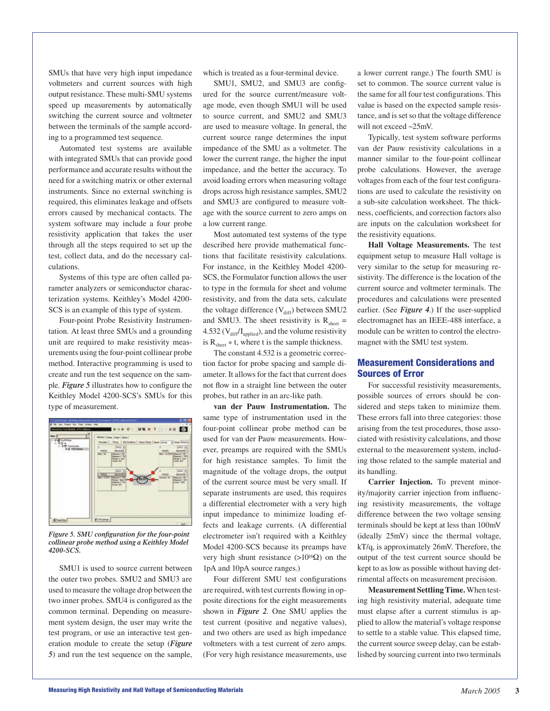SMUs that have very high input impedance voltmeters and current sources with high output resistance. These multi-SMU systems speed up measurements by automatically switching the current source and voltmeter between the terminals of the sample according to a programmed test sequence.

Automated test systems are available with integrated SMUs that can provide good performance and accurate results without the need for a switching matrix or other external instruments. Since no external switching is required, this eliminates leakage and offsets errors caused by mechanical contacts. The system software may include a four probe resistivity application that takes the user through all the steps required to set up the test, collect data, and do the necessary calculations.

Systems of this type are often called parameter analyzers or semiconductor characterization systems. Keithley's Model 4200- SCS is an example of this type of system.

Four-point Probe Resistivity Instrumentation. At least three SMUs and a grounding unit are required to make resistivity measurements using the four-point collinear probe method. Interactive programming is used to create and run the test sequence on the sample. *Figure 5* illustrates how to configure the Keithley Model 4200-SCS's SMUs for this type of measurement.



*Figure 5. SMU configuration for the four-point collinear probe method using a Keithley Model 4200-SCS.*

SMU1 is used to source current between the outer two probes. SMU2 and SMU3 are used to measure the voltage drop between the two inner probes. SMU4 is configured as the common terminal. Depending on measurement system design, the user may write the test program, or use an interactive test generation module to create the setup (*Figure 5*) and run the test sequence on the sample, which is treated as a four-terminal device.

SMU1, SMU2, and SMU3 are configured for the source current/measure voltage mode, even though SMU1 will be used to source current, and SMU2 and SMU3 are used to measure voltage. In general, the current source range determines the input impedance of the SMU as a voltmeter. The lower the current range, the higher the input impedance, and the better the accuracy. To avoid loading errors when measuring voltage drops across high resistance samples, SMU2 and SMU3 are configured to measure voltage with the source current to zero amps on a low current range.

Most automated test systems of the type described here provide mathematical functions that facilitate resistivity calculations. For instance, in the Keithley Model 4200- SCS, the Formulator function allows the user to type in the formula for sheet and volume resistivity, and from the data sets, calculate the voltage difference  $(V_{diff})$  between SMU2 and SMU3. The sheet resistivity is  $R_{sheet}$  = 4.532 ( $V_{diff}/I_{applied}$ ), and the volume resistivity is  $R_{\text{sheet}} * t$ , where t is the sample thickness.

The constant 4.532 is a geometric correction factor for probe spacing and sample diameter. It allows for the fact that current does not flow in a straight line between the outer probes, but rather in an arc-like path.

**van der Pauw Instrumentation.** The same type of instrumentation used in the four-point collinear probe method can be used for van der Pauw measurements. However, preamps are required with the SMUs for high resistance samples. To limit the magnitude of the voltage drops, the output of the current source must be very small. If separate instruments are used, this requires a differential electrometer with a very high input impedance to minimize loading effects and leakage currents. (A differential electrometer isn't required with a Keithley Model 4200-SCS because its preamps have very high shunt resistance (>1016Ω) on the 1pA and 10pA source ranges.)

Four different SMU test configurations are required, with test currents flowing in opposite directions for the eight measurements shown in *Figure 2*. One SMU applies the test current (positive and negative values), and two others are used as high impedance voltmeters with a test current of zero amps. (For very high resistance measurements, use a lower current range.) The fourth SMU is set to common. The source current value is the same for all four test configurations. This value is based on the expected sample resistance, and is set so that the voltage difference will not exceed ~25mV.

Typically, test system software performs van der Pauw resistivity calculations in a manner similar to the four-point collinear probe calculations. However, the average voltages from each of the four test configurations are used to calculate the resistivity on a sub-site calculation worksheet. The thickness, coefficients, and correction factors also are inputs on the calculation worksheet for the resistivity equations.

**Hall Voltage Measurements.** The test equipment setup to measure Hall voltage is very similar to the setup for measuring resistivity. The difference is the location of the current source and voltmeter terminals. The procedures and calculations were presented earlier. (See *Figure 4*.) If the user-supplied electromagnet has an IEEE-488 interface, a module can be written to control the electromagnet with the SMU test system.

### Measurement Considerations and Sources of Error

For successful resistivity measurements, possible sources of errors should be considered and steps taken to minimize them. These errors fall into three categories: those arising from the test procedures, those associated with resistivity calculations, and those external to the measurement system, including those related to the sample material and its handling.

**Carrier Injection.** To prevent minority/majority carrier injection from influencing resistivity measurements, the voltage difference between the two voltage sensing terminals should be kept at less than 100mV (ideally 25mV) since the thermal voltage, kT/q, is approximately 26mV. Therefore, the output of the test current source should be kept to as low as possible without having detrimental affects on measurement precision.

**Measurement Settling Time.** When testing high resistivity material, adequate time must elapse after a current stimulus is applied to allow the material's voltage response to settle to a stable value. This elapsed time, the current source sweep delay, can be established by sourcing current into two terminals